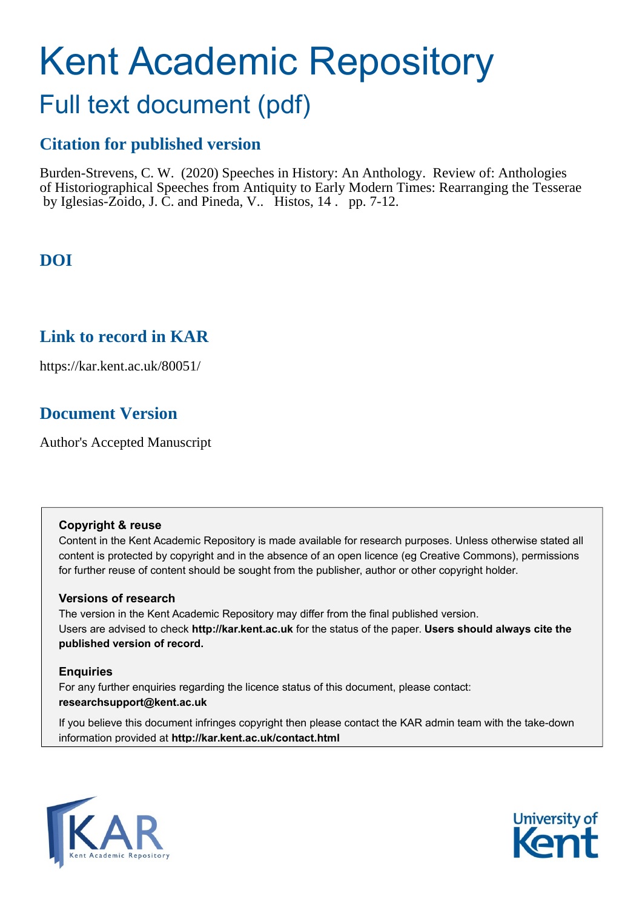# Kent Academic Repository

# Full text document (pdf)

## **Citation for published version**

Burden-Strevens, C. W. (2020) Speeches in History: An Anthology. Review of: Anthologies of Historiographical Speeches from Antiquity to Early Modern Times: Rearranging the Tesserae by Iglesias-Zoido, J. C. and Pineda, V.. Histos, 14 . pp. 7-12.

# **DOI**

#### **Link to record in KAR**

https://kar.kent.ac.uk/80051/

## **Document Version**

Author's Accepted Manuscript

#### **Copyright & reuse**

Content in the Kent Academic Repository is made available for research purposes. Unless otherwise stated all content is protected by copyright and in the absence of an open licence (eg Creative Commons), permissions for further reuse of content should be sought from the publisher, author or other copyright holder.

#### **Versions of research**

The version in the Kent Academic Repository may differ from the final published version. Users are advised to check **http://kar.kent.ac.uk** for the status of the paper. **Users should always cite the published version of record.**

#### **Enquiries**

For any further enquiries regarding the licence status of this document, please contact: **researchsupport@kent.ac.uk**

If you believe this document infringes copyright then please contact the KAR admin team with the take-down information provided at **http://kar.kent.ac.uk/contact.html**



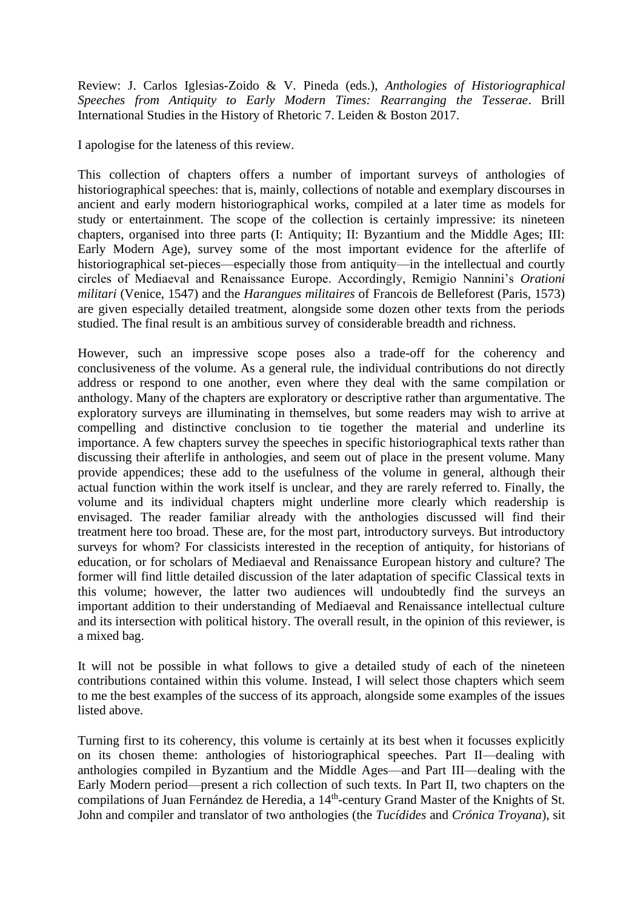Review: J. Carlos Iglesias-Zoido & V. Pineda (eds.), *Anthologies of Historiographical Speeches from Antiquity to Early Modern Times: Rearranging the Tesserae*. Brill International Studies in the History of Rhetoric 7. Leiden & Boston 2017.

I apologise for the lateness of this review.

This collection of chapters offers a number of important surveys of anthologies of historiographical speeches: that is, mainly, collections of notable and exemplary discourses in ancient and early modern historiographical works, compiled at a later time as models for study or entertainment. The scope of the collection is certainly impressive: its nineteen chapters, organised into three parts (I: Antiquity; II: Byzantium and the Middle Ages; III: Early Modern Age), survey some of the most important evidence for the afterlife of historiographical set-pieces—especially those from antiquity—in the intellectual and courtly circles of Mediaeval and Renaissance Europe. Accordingly, Remigio Nannini's *Orationi militari* (Venice, 1547) and the *Harangues militaires* of Francois de Belleforest (Paris, 1573) are given especially detailed treatment, alongside some dozen other texts from the periods studied. The final result is an ambitious survey of considerable breadth and richness.

However, such an impressive scope poses also a trade-off for the coherency and conclusiveness of the volume. As a general rule, the individual contributions do not directly address or respond to one another, even where they deal with the same compilation or anthology. Many of the chapters are exploratory or descriptive rather than argumentative. The exploratory surveys are illuminating in themselves, but some readers may wish to arrive at compelling and distinctive conclusion to tie together the material and underline its importance. A few chapters survey the speeches in specific historiographical texts rather than discussing their afterlife in anthologies, and seem out of place in the present volume. Many provide appendices; these add to the usefulness of the volume in general, although their actual function within the work itself is unclear, and they are rarely referred to. Finally, the volume and its individual chapters might underline more clearly which readership is envisaged. The reader familiar already with the anthologies discussed will find their treatment here too broad. These are, for the most part, introductory surveys. But introductory surveys for whom? For classicists interested in the reception of antiquity, for historians of education, or for scholars of Mediaeval and Renaissance European history and culture? The former will find little detailed discussion of the later adaptation of specific Classical texts in this volume; however, the latter two audiences will undoubtedly find the surveys an important addition to their understanding of Mediaeval and Renaissance intellectual culture and its intersection with political history. The overall result, in the opinion of this reviewer, is a mixed bag.

It will not be possible in what follows to give a detailed study of each of the nineteen contributions contained within this volume. Instead, I will select those chapters which seem to me the best examples of the success of its approach, alongside some examples of the issues listed above.

Turning first to its coherency, this volume is certainly at its best when it focusses explicitly on its chosen theme: anthologies of historiographical speeches. Part II—dealing with anthologies compiled in Byzantium and the Middle Ages—and Part III—dealing with the Early Modern period—present a rich collection of such texts. In Part II, two chapters on the compilations of Juan Fernández de Heredia, a 14<sup>th</sup>-century Grand Master of the Knights of St. John and compiler and translator of two anthologies (the *Tucídides* and *Crónica Troyana*), sit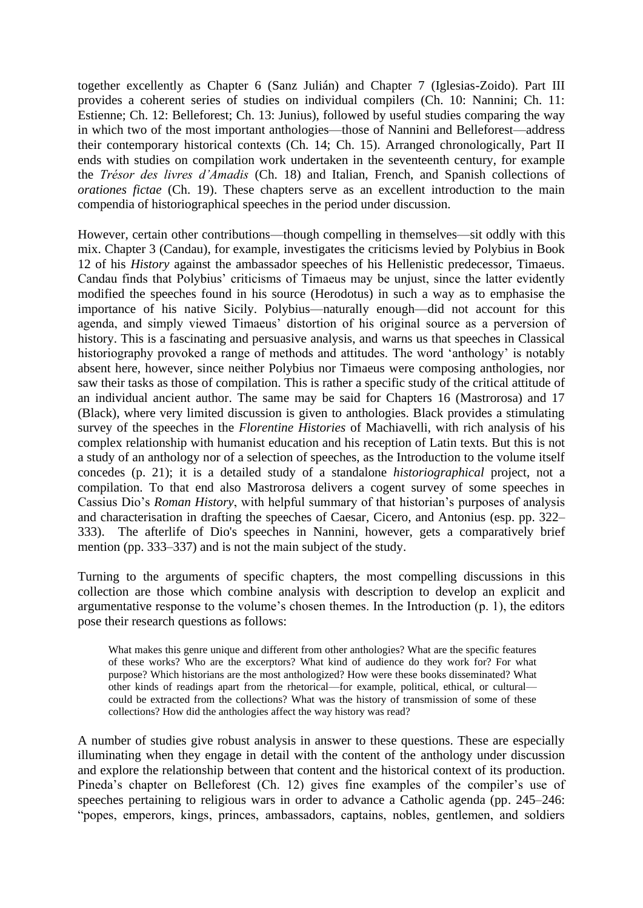together excellently as Chapter 6 (Sanz Julián) and Chapter 7 (Iglesias-Zoido). Part III provides a coherent series of studies on individual compilers (Ch. 10: Nannini; Ch. 11: Estienne; Ch. 12: Belleforest; Ch. 13: Junius), followed by useful studies comparing the way in which two of the most important anthologies—those of Nannini and Belleforest—address their contemporary historical contexts (Ch. 14; Ch. 15). Arranged chronologically, Part II ends with studies on compilation work undertaken in the seventeenth century, for example the *Trésor des livres d'Amadis* (Ch. 18) and Italian, French, and Spanish collections of *orationes fictae* (Ch. 19). These chapters serve as an excellent introduction to the main compendia of historiographical speeches in the period under discussion.

However, certain other contributions—though compelling in themselves—sit oddly with this mix. Chapter 3 (Candau), for example, investigates the criticisms levied by Polybius in Book 12 of his *History* against the ambassador speeches of his Hellenistic predecessor, Timaeus. Candau finds that Polybius' criticisms of Timaeus may be unjust, since the latter evidently modified the speeches found in his source (Herodotus) in such a way as to emphasise the importance of his native Sicily. Polybius—naturally enough—did not account for this agenda, and simply viewed Timaeus' distortion of his original source as a perversion of history. This is a fascinating and persuasive analysis, and warns us that speeches in Classical historiography provoked a range of methods and attitudes. The word 'anthology' is notably absent here, however, since neither Polybius nor Timaeus were composing anthologies, nor saw their tasks as those of compilation. This is rather a specific study of the critical attitude of an individual ancient author. The same may be said for Chapters 16 (Mastrorosa) and 17 (Black), where very limited discussion is given to anthologies. Black provides a stimulating survey of the speeches in the *Florentine Histories* of Machiavelli, with rich analysis of his complex relationship with humanist education and his reception of Latin texts. But this is not a study of an anthology nor of a selection of speeches, as the Introduction to the volume itself concedes (p. 21); it is a detailed study of a standalone *historiographical* project, not a compilation. To that end also Mastrorosa delivers a cogent survey of some speeches in Cassius Dio's *Roman History*, with helpful summary of that historian's purposes of analysis and characterisation in drafting the speeches of Caesar, Cicero, and Antonius (esp. pp. 322– 333). The afterlife of Dio's speeches in Nannini, however, gets a comparatively brief mention (pp. 333–337) and is not the main subject of the study.

Turning to the arguments of specific chapters, the most compelling discussions in this collection are those which combine analysis with description to develop an explicit and argumentative response to the volume's chosen themes. In the Introduction (p. 1), the editors pose their research questions as follows:

What makes this genre unique and different from other anthologies? What are the specific features of these works? Who are the excerptors? What kind of audience do they work for? For what purpose? Which historians are the most anthologized? How were these books disseminated? What other kinds of readings apart from the rhetorical—for example, political, ethical, or cultural could be extracted from the collections? What was the history of transmission of some of these collections? How did the anthologies affect the way history was read?

A number of studies give robust analysis in answer to these questions. These are especially illuminating when they engage in detail with the content of the anthology under discussion and explore the relationship between that content and the historical context of its production. Pineda's chapter on Belleforest (Ch. 12) gives fine examples of the compiler's use of speeches pertaining to religious wars in order to advance a Catholic agenda (pp. 245–246: "popes, emperors, kings, princes, ambassadors, captains, nobles, gentlemen, and soldiers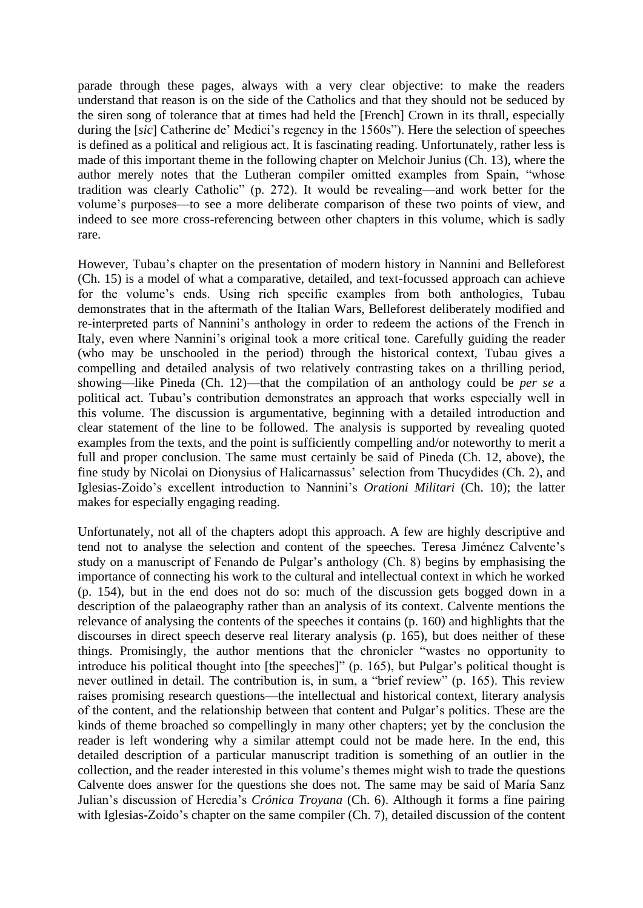parade through these pages, always with a very clear objective: to make the readers understand that reason is on the side of the Catholics and that they should not be seduced by the siren song of tolerance that at times had held the [French] Crown in its thrall, especially during the [*sic*] Catherine de' Medici's regency in the 1560s"). Here the selection of speeches is defined as a political and religious act. It is fascinating reading. Unfortunately, rather less is made of this important theme in the following chapter on Melchoir Junius (Ch. 13), where the author merely notes that the Lutheran compiler omitted examples from Spain, "whose tradition was clearly Catholic" (p. 272). It would be revealing—and work better for the volume's purposes—to see a more deliberate comparison of these two points of view, and indeed to see more cross-referencing between other chapters in this volume, which is sadly rare.

However, Tubau's chapter on the presentation of modern history in Nannini and Belleforest (Ch. 15) is a model of what a comparative, detailed, and text-focussed approach can achieve for the volume's ends. Using rich specific examples from both anthologies, Tubau demonstrates that in the aftermath of the Italian Wars, Belleforest deliberately modified and re-interpreted parts of Nannini's anthology in order to redeem the actions of the French in Italy, even where Nannini's original took a more critical tone. Carefully guiding the reader (who may be unschooled in the period) through the historical context, Tubau gives a compelling and detailed analysis of two relatively contrasting takes on a thrilling period, showing—like Pineda (Ch. 12)—that the compilation of an anthology could be *per se* a political act. Tubau's contribution demonstrates an approach that works especially well in this volume. The discussion is argumentative, beginning with a detailed introduction and clear statement of the line to be followed. The analysis is supported by revealing quoted examples from the texts, and the point is sufficiently compelling and/or noteworthy to merit a full and proper conclusion. The same must certainly be said of Pineda (Ch. 12, above), the fine study by Nicolai on Dionysius of Halicarnassus' selection from Thucydides (Ch. 2), and Iglesias-Zoido's excellent introduction to Nannini's *Orationi Militari* (Ch. 10); the latter makes for especially engaging reading.

Unfortunately, not all of the chapters adopt this approach. A few are highly descriptive and tend not to analyse the selection and content of the speeches. Teresa Jiménez Calvente's study on a manuscript of Fenando de Pulgar's anthology (Ch. 8) begins by emphasising the importance of connecting his work to the cultural and intellectual context in which he worked (p. 154), but in the end does not do so: much of the discussion gets bogged down in a description of the palaeography rather than an analysis of its context. Calvente mentions the relevance of analysing the contents of the speeches it contains (p. 160) and highlights that the discourses in direct speech deserve real literary analysis (p. 165), but does neither of these things. Promisingly, the author mentions that the chronicler "wastes no opportunity to introduce his political thought into [the speeches]" (p. 165), but Pulgar's political thought is never outlined in detail. The contribution is, in sum, a "brief review" (p. 165). This review raises promising research questions—the intellectual and historical context, literary analysis of the content, and the relationship between that content and Pulgar's politics. These are the kinds of theme broached so compellingly in many other chapters; yet by the conclusion the reader is left wondering why a similar attempt could not be made here. In the end, this detailed description of a particular manuscript tradition is something of an outlier in the collection, and the reader interested in this volume's themes might wish to trade the questions Calvente does answer for the questions she does not. The same may be said of María Sanz Julian's discussion of Heredia's *Crónica Troyana* (Ch. 6). Although it forms a fine pairing with Iglesias-Zoido's chapter on the same compiler (Ch. 7), detailed discussion of the content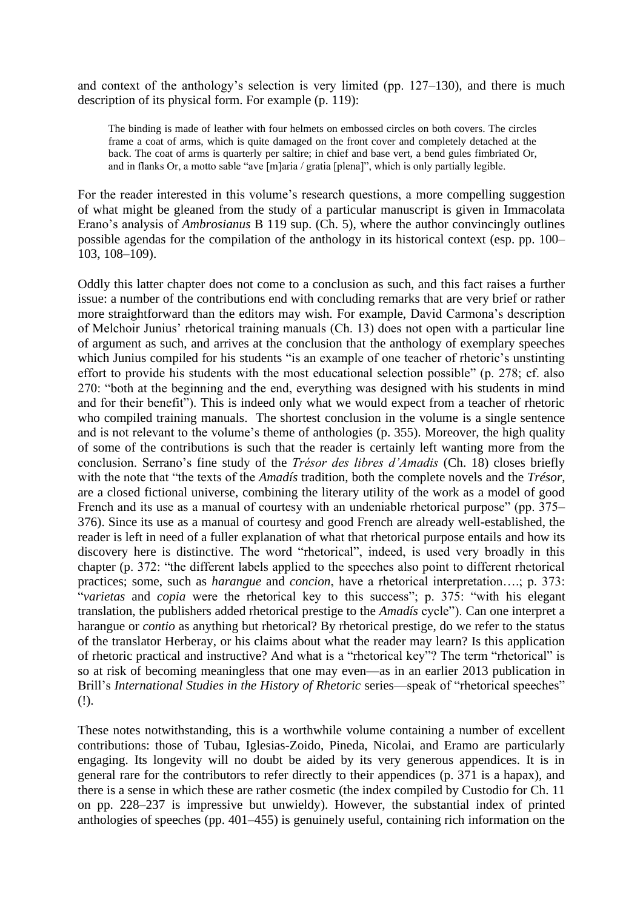and context of the anthology's selection is very limited (pp. 127–130), and there is much description of its physical form. For example (p. 119):

The binding is made of leather with four helmets on embossed circles on both covers. The circles frame a coat of arms, which is quite damaged on the front cover and completely detached at the back. The coat of arms is quarterly per saltire; in chief and base vert, a bend gules fimbriated Or, and in flanks Or, a motto sable "ave [m]aria / gratia [plena]", which is only partially legible.

For the reader interested in this volume's research questions, a more compelling suggestion of what might be gleaned from the study of a particular manuscript is given in Immacolata Erano's analysis of *Ambrosianus* B 119 sup. (Ch. 5), where the author convincingly outlines possible agendas for the compilation of the anthology in its historical context (esp. pp. 100– 103, 108–109).

Oddly this latter chapter does not come to a conclusion as such, and this fact raises a further issue: a number of the contributions end with concluding remarks that are very brief or rather more straightforward than the editors may wish. For example, David Carmona's description of Melchoir Junius' rhetorical training manuals (Ch. 13) does not open with a particular line of argument as such, and arrives at the conclusion that the anthology of exemplary speeches which Junius compiled for his students "is an example of one teacher of rhetoric's unstinting effort to provide his students with the most educational selection possible" (p. 278; cf. also 270: "both at the beginning and the end, everything was designed with his students in mind and for their benefit"). This is indeed only what we would expect from a teacher of rhetoric who compiled training manuals. The shortest conclusion in the volume is a single sentence and is not relevant to the volume's theme of anthologies (p. 355). Moreover, the high quality of some of the contributions is such that the reader is certainly left wanting more from the conclusion. Serrano's fine study of the *Trésor des libres d'Amadis* (Ch. 18) closes briefly with the note that "the texts of the *Amadís* tradition, both the complete novels and the *Trésor*, are a closed fictional universe, combining the literary utility of the work as a model of good French and its use as a manual of courtesy with an undeniable rhetorical purpose" (pp. 375– 376). Since its use as a manual of courtesy and good French are already well-established, the reader is left in need of a fuller explanation of what that rhetorical purpose entails and how its discovery here is distinctive. The word "rhetorical", indeed, is used very broadly in this chapter (p. 372: "the different labels applied to the speeches also point to different rhetorical practices; some, such as *harangue* and *concion*, have a rhetorical interpretation….; p. 373: "*varietas* and *copia* were the rhetorical key to this success"; p. 375: "with his elegant translation, the publishers added rhetorical prestige to the *Amadís* cycle"). Can one interpret a harangue or *contio* as anything but rhetorical? By rhetorical prestige, do we refer to the status of the translator Herberay, or his claims about what the reader may learn? Is this application of rhetoric practical and instructive? And what is a "rhetorical key"? The term "rhetorical" is so at risk of becoming meaningless that one may even—as in an earlier 2013 publication in Brill's *International Studies in the History of Rhetoric* series—speak of "rhetorical speeches" (!).

These notes notwithstanding, this is a worthwhile volume containing a number of excellent contributions: those of Tubau, Iglesias-Zoido, Pineda, Nicolai, and Eramo are particularly engaging. Its longevity will no doubt be aided by its very generous appendices. It is in general rare for the contributors to refer directly to their appendices (p. 371 is a hapax), and there is a sense in which these are rather cosmetic (the index compiled by Custodio for Ch. 11 on pp. 228–237 is impressive but unwieldy). However, the substantial index of printed anthologies of speeches (pp. 401–455) is genuinely useful, containing rich information on the